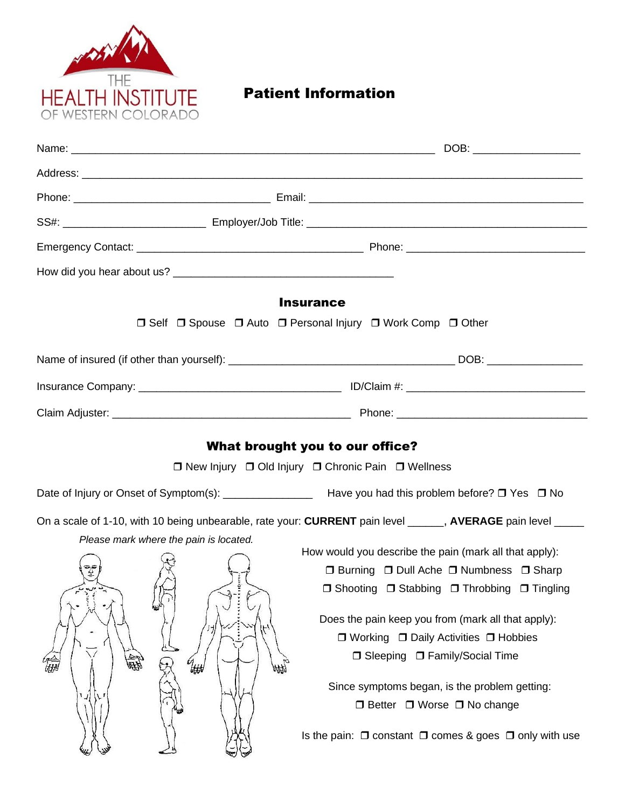

## Patient Information

| DOB: ______________________                                                                                                                                                                                                                                                                                                                                                                                                                                                                                                                                                  |  |  |  |
|------------------------------------------------------------------------------------------------------------------------------------------------------------------------------------------------------------------------------------------------------------------------------------------------------------------------------------------------------------------------------------------------------------------------------------------------------------------------------------------------------------------------------------------------------------------------------|--|--|--|
|                                                                                                                                                                                                                                                                                                                                                                                                                                                                                                                                                                              |  |  |  |
|                                                                                                                                                                                                                                                                                                                                                                                                                                                                                                                                                                              |  |  |  |
|                                                                                                                                                                                                                                                                                                                                                                                                                                                                                                                                                                              |  |  |  |
|                                                                                                                                                                                                                                                                                                                                                                                                                                                                                                                                                                              |  |  |  |
|                                                                                                                                                                                                                                                                                                                                                                                                                                                                                                                                                                              |  |  |  |
| <b>Insurance</b>                                                                                                                                                                                                                                                                                                                                                                                                                                                                                                                                                             |  |  |  |
| □ Self □ Spouse □ Auto □ Personal Injury □ Work Comp □ Other                                                                                                                                                                                                                                                                                                                                                                                                                                                                                                                 |  |  |  |
|                                                                                                                                                                                                                                                                                                                                                                                                                                                                                                                                                                              |  |  |  |
|                                                                                                                                                                                                                                                                                                                                                                                                                                                                                                                                                                              |  |  |  |
|                                                                                                                                                                                                                                                                                                                                                                                                                                                                                                                                                                              |  |  |  |
| What brought you to our office?<br>□ New Injury □ Old Injury □ Chronic Pain □ Wellness                                                                                                                                                                                                                                                                                                                                                                                                                                                                                       |  |  |  |
| Date of Injury or Onset of Symptom(s): ___________________ Have you had this problem before? □ Yes □ No                                                                                                                                                                                                                                                                                                                                                                                                                                                                      |  |  |  |
| On a scale of 1-10, with 10 being unbearable, rate your: CURRENT pain level _____, AVERAGE pain level ____<br>How would you describe the pain (mark all that apply):<br>□ Burning □ Dull Ache □ Numbness □ Sharp<br>□ Shooting □ Stabbing □ Throbbing □ Tingling<br>Does the pain keep you from (mark all that apply):<br>$\Box$ Working $\Box$ Daily Activities $\Box$ Hobbies<br>□ Sleeping □ Family/Social Time<br>Since symptoms began, is the problem getting:<br>□ Better □ Worse □ No change<br>Is the pain: $\Box$ constant $\Box$ comes & goes $\Box$ only with use |  |  |  |
|                                                                                                                                                                                                                                                                                                                                                                                                                                                                                                                                                                              |  |  |  |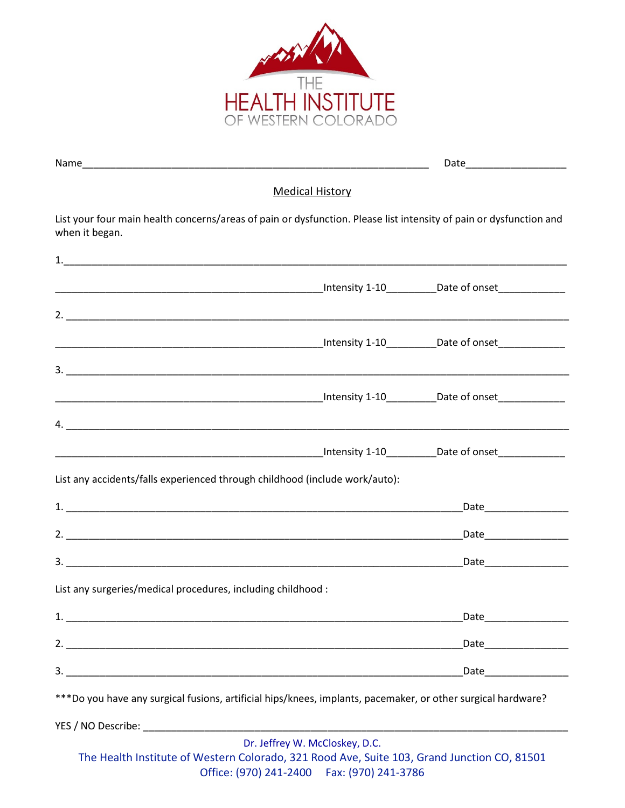

|                                                                                                                                                                                                                                      | <b>Medical History</b>         |  |
|--------------------------------------------------------------------------------------------------------------------------------------------------------------------------------------------------------------------------------------|--------------------------------|--|
| List your four main health concerns/areas of pain or dysfunction. Please list intensity of pain or dysfunction and<br>when it began.                                                                                                 |                                |  |
|                                                                                                                                                                                                                                      |                                |  |
| <u>ntensity 1-10 Date of onset and the contract of the contract of the contract of the contract of the contract of the contract of the contract of the contract of the contract of the contract of the contract of the contract </u> |                                |  |
|                                                                                                                                                                                                                                      |                                |  |
|                                                                                                                                                                                                                                      |                                |  |
|                                                                                                                                                                                                                                      |                                |  |
|                                                                                                                                                                                                                                      |                                |  |
|                                                                                                                                                                                                                                      |                                |  |
|                                                                                                                                                                                                                                      |                                |  |
| List any accidents/falls experienced through childhood (include work/auto):                                                                                                                                                          |                                |  |
|                                                                                                                                                                                                                                      |                                |  |
|                                                                                                                                                                                                                                      |                                |  |
|                                                                                                                                                                                                                                      |                                |  |
| List any surgeries/medical procedures, including childhood :                                                                                                                                                                         |                                |  |
|                                                                                                                                                                                                                                      |                                |  |
|                                                                                                                                                                                                                                      |                                |  |
|                                                                                                                                                                                                                                      |                                |  |
| ***Do you have any surgical fusions, artificial hips/knees, implants, pacemaker, or other surgical hardware?                                                                                                                         |                                |  |
|                                                                                                                                                                                                                                      |                                |  |
| The Health Institute of Western Colorado, 321 Rood Ave, Suite 103, Grand Junction CO, 81501                                                                                                                                          | Dr. Jeffrey W. McCloskey, D.C. |  |

Office: (970) 241-2400 Fax: (970) 241-3786